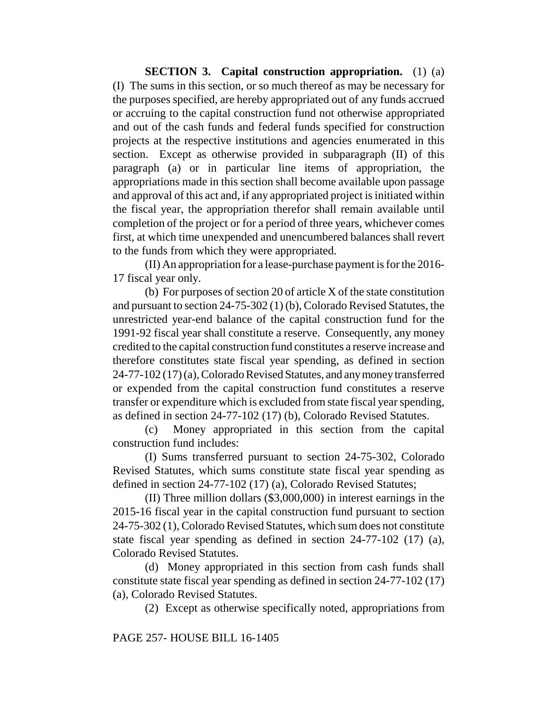**SECTION 3. Capital construction appropriation.** (1) (a) (I) The sums in this section, or so much thereof as may be necessary for the purposes specified, are hereby appropriated out of any funds accrued or accruing to the capital construction fund not otherwise appropriated and out of the cash funds and federal funds specified for construction projects at the respective institutions and agencies enumerated in this section. Except as otherwise provided in subparagraph (II) of this paragraph (a) or in particular line items of appropriation, the appropriations made in this section shall become available upon passage and approval of this act and, if any appropriated project is initiated within the fiscal year, the appropriation therefor shall remain available until completion of the project or for a period of three years, whichever comes first, at which time unexpended and unencumbered balances shall revert to the funds from which they were appropriated.

(II) An appropriation for a lease-purchase payment is for the 2016- 17 fiscal year only.

(b) For purposes of section 20 of article X of the state constitution and pursuant to section 24-75-302 (1) (b), Colorado Revised Statutes, the unrestricted year-end balance of the capital construction fund for the 1991-92 fiscal year shall constitute a reserve. Consequently, any money credited to the capital construction fund constitutes a reserve increase and therefore constitutes state fiscal year spending, as defined in section 24-77-102 (17) (a), Colorado Revised Statutes, and any money transferred or expended from the capital construction fund constitutes a reserve transfer or expenditure which is excluded from state fiscal year spending, as defined in section 24-77-102 (17) (b), Colorado Revised Statutes.

(c) Money appropriated in this section from the capital construction fund includes:

(I) Sums transferred pursuant to section 24-75-302, Colorado Revised Statutes, which sums constitute state fiscal year spending as defined in section 24-77-102 (17) (a), Colorado Revised Statutes;

(II) Three million dollars (\$3,000,000) in interest earnings in the 2015-16 fiscal year in the capital construction fund pursuant to section 24-75-302 (1), Colorado Revised Statutes, which sum does not constitute state fiscal year spending as defined in section 24-77-102 (17) (a), Colorado Revised Statutes.

(d) Money appropriated in this section from cash funds shall constitute state fiscal year spending as defined in section 24-77-102 (17) (a), Colorado Revised Statutes.

(2) Except as otherwise specifically noted, appropriations from

PAGE 257- HOUSE BILL 16-1405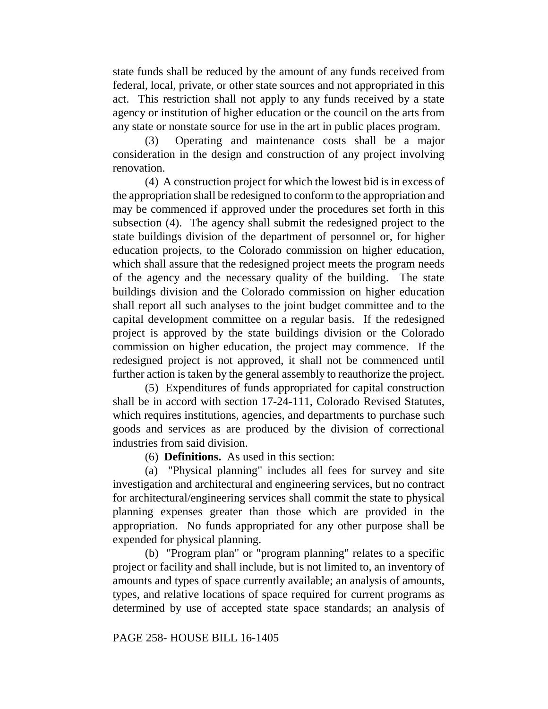state funds shall be reduced by the amount of any funds received from federal, local, private, or other state sources and not appropriated in this act. This restriction shall not apply to any funds received by a state agency or institution of higher education or the council on the arts from any state or nonstate source for use in the art in public places program.

(3) Operating and maintenance costs shall be a major consideration in the design and construction of any project involving renovation.

(4) A construction project for which the lowest bid is in excess of the appropriation shall be redesigned to conform to the appropriation and may be commenced if approved under the procedures set forth in this subsection (4). The agency shall submit the redesigned project to the state buildings division of the department of personnel or, for higher education projects, to the Colorado commission on higher education, which shall assure that the redesigned project meets the program needs of the agency and the necessary quality of the building. The state buildings division and the Colorado commission on higher education shall report all such analyses to the joint budget committee and to the capital development committee on a regular basis. If the redesigned project is approved by the state buildings division or the Colorado commission on higher education, the project may commence. If the redesigned project is not approved, it shall not be commenced until further action is taken by the general assembly to reauthorize the project.

(5) Expenditures of funds appropriated for capital construction shall be in accord with section 17-24-111, Colorado Revised Statutes, which requires institutions, agencies, and departments to purchase such goods and services as are produced by the division of correctional industries from said division.

(6) **Definitions.** As used in this section:

(a) "Physical planning" includes all fees for survey and site investigation and architectural and engineering services, but no contract for architectural/engineering services shall commit the state to physical planning expenses greater than those which are provided in the appropriation. No funds appropriated for any other purpose shall be expended for physical planning.

(b) "Program plan" or "program planning" relates to a specific project or facility and shall include, but is not limited to, an inventory of amounts and types of space currently available; an analysis of amounts, types, and relative locations of space required for current programs as determined by use of accepted state space standards; an analysis of

## PAGE 258- HOUSE BILL 16-1405